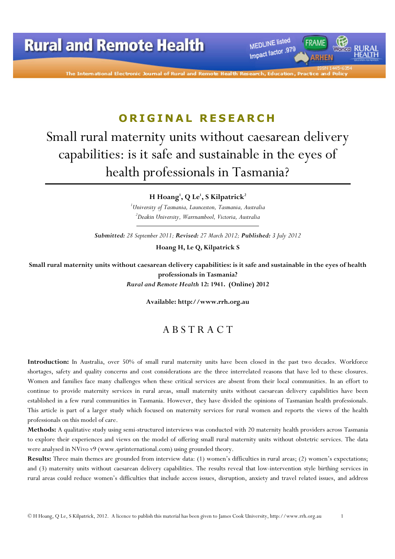The International Electronic Journal of Rural and Remote He

MEDLINE listed

Impact factor .979

# ORIGINAL RESEARCH

# Small rural maternity units without caesarean delivery capabilities: is it safe and sustainable in the eyes of health professionals in Tasmania?

H Hoang $^1$ , Q Le $^1$ , S Kilpatrick $^2$ 

 $1$ University of Tasmania, Launceston, Tasmania, Australia <sup>2</sup>Deakin University, Warrnambool, Victoria, Australia

Submitted: 28 September 2011; Revised: 27 March 2012; Published: 3 July 2012

Hoang H, Le Q, Kilpatrick S

Small rural maternity units without caesarean delivery capabilities: is it safe and sustainable in the eyes of health professionals in Tasmania? Rural and Remote Health 12: 1941. (Online) 2012

Available: http://www.rrh.org.au

### A B S T R A C T

Introduction: In Australia, over 50% of small rural maternity units have been closed in the past two decades. Workforce shortages, safety and quality concerns and cost considerations are the three interrelated reasons that have led to these closures. Women and families face many challenges when these critical services are absent from their local communities. In an effort to continue to provide maternity services in rural areas, small maternity units without caesarean delivery capabilities have been established in a few rural communities in Tasmania. However, they have divided the opinions of Tasmanian health professionals. This article is part of a larger study which focused on maternity services for rural women and reports the views of the health professionals on this model of care.

Methods: A qualitative study using semi-structured interviews was conducted with 20 maternity health providers across Tasmania to explore their experiences and views on the model of offering small rural maternity units without obstetric services. The data were analysed in NVivo v9 (www.qsrinternational.com) using grounded theory.

Results: Three main themes are grounded from interview data: (1) women's difficulties in rural areas; (2) women's expectations; and (3) maternity units without caesarean delivery capabilities. The results reveal that low-intervention style birthing services in rural areas could reduce women's difficulties that include access issues, disruption, anxiety and travel related issues, and address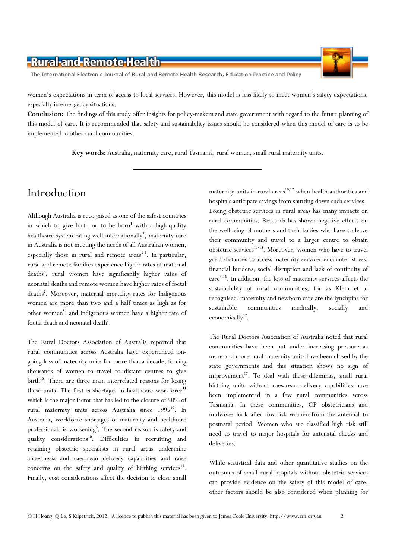The International Electronic Journal of Rural and Remote Health Research, Education Practice and Policy

women's expectations in term of access to local services. However, this model is less likely to meet women's safety expectations, especially in emergency situations.

Conclusion: The findings of this study offer insights for policy-makers and state government with regard to the future planning of this model of care. It is recommended that safety and sustainability issues should be considered when this model of care is to be implemented in other rural communities.

Key words: Australia, maternity care, rural Tasmania, rural women, small rural maternity units.

# Introduction

Although Australia is recognised as one of the safest countries in which to give birth or to be born<sup>1</sup> with a high-quality healthcare system rating well internationally<sup>2</sup>, maternity care in Australia is not meeting the needs of all Australian women, especially those in rural and remote  $\arccos^{3-5}$ . In particular, rural and remote families experience higher rates of maternal deaths<sup>6</sup> , rural women have significantly higher rates of neonatal deaths and remote women have higher rates of foetal deaths<sup>7</sup>. Moreover, maternal mortality rates for Indigenous women are more than two and a half times as high as for other women<sup>8</sup>, and Indigenous women have a higher rate of foetal death and neonatal death<sup>9</sup>.

The Rural Doctors Association of Australia reported that rural communities across Australia have experienced ongoing loss of maternity units for more than a decade, forcing thousands of women to travel to distant centres to give birth<sup>10</sup>. There are three main interrelated reasons for losing these units. The first is shortages in healthcare workforce<sup>11</sup> which is the major factor that has led to the closure of 50% of rural maternity units across Australia since 1995<sup>10</sup>. In Australia, workforce shortages of maternity and healthcare professionals is worsening<sup>5</sup>. The second reason is safety and quality considerations<sup>10</sup>. Difficulties in recruiting and retaining obstetric specialists in rural areas undermine anaesthesia and caesarean delivery capabilities and raise concerns on the safety and quality of birthing services $11$ . Finally, cost considerations affect the decision to close small

maternity units in rural areas<sup>10,12</sup> when health authorities and hospitals anticipate savings from shutting down such services. Losing obstetric services in rural areas has many impacts on rural communities. Research has shown negative effects on the wellbeing of mothers and their babies who have to leave their community and travel to a larger centre to obtain obstetric services<sup>13-15</sup>. Moreover, women who have to travel great distances to access maternity services encounter stress, financial burdens, social disruption and lack of continuity of care <sup>4</sup>,<sup>16</sup>. In addition, the loss of maternity services affects the sustainability of rural communities; for as Klein et al recognised, maternity and newborn care are the lynchpins for sustainable communities medically, socially and economically<sup>12</sup>.

The Rural Doctors Association of Australia noted that rural communities have been put under increasing pressure as more and more rural maternity units have been closed by the state governments and this situation shows no sign of improvement<sup>17</sup>. To deal with these dilemmas, small rural birthing units without caesarean delivery capabilities have been implemented in a few rural communities across Tasmania. In these communities, GP obstetricians and midwives look after low-risk women from the antennal to postnatal period. Women who are classified high risk still need to travel to major hospitals for antenatal checks and deliveries.

While statistical data and other quantitative studies on the outcomes of small rural hospitals without obstetric services can provide evidence on the safety of this model of care, other factors should be also considered when planning for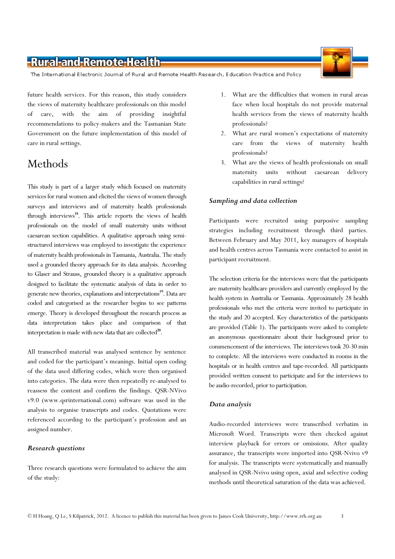The International Electronic Journal of Rural and Remote Health Research, Education Practice and Policy

future health services. For this reason, this study considers the views of maternity healthcare professionals on this model of care, with the aim of providing insightful recommendations to policy-makers and the Tasmanian State Government on the future implementation of this model of care in rural settings.

# Methods

This study is part of a larger study which focused on maternity services for rural women and elicited the views of women through surveys and interviews and of maternity health professionals through interviews<sup>18</sup>. This article reports the views of health professionals on the model of small maternity units without caesarean section capabilities. A qualitative approach using semistructured interviews was employed to investigate the experience of maternity health professionals in Tasmania, Australia. The study used a grounded theory approach for its data analysis. According to Glaser and Strauss, grounded theory is a qualitative approach designed to facilitate the systematic analysis of data in order to generate new theories, explanations and interpretations<sup>19</sup>. Data are coded and categorised as the researcher begins to see patterns emerge. Theory is developed throughout the research process as data interpretation takes place and comparison of that interpretation is made with new data that are collected $^{20}$ .

All transcribed material was analysed sentence by sentence and coded for the participant's meanings. Initial open coding of the data used differing codes, which were then organised into categories. The data were then repeatedly re-analysed to reassess the content and confirm the findings. QSR-NVivo v9.0 (www.qsrinternational.com) software was used in the analysis to organise transcripts and codes. Quotations were referenced according to the participant's profession and an assigned number.

#### Research questions

Three research questions were formulated to achieve the aim of the study:

- 1. What are the difficulties that women in rural areas face when local hospitals do not provide maternal health services from the views of maternity health professionals?
- 2. What are rural women's expectations of maternity care from the views of maternity health professionals?
- 3. What are the views of health professionals on small maternity units without caesarean delivery capabilities in rural settings?

#### Sampling and data collection

Participants were recruited using purposive sampling strategies including recruitment through third parties. Between February and May 2011, key managers of hospitals and health centres across Tasmania were contacted to assist in participant recruitment.

The selection criteria for the interviews were that the participants are maternity healthcare providers and currently employed by the health system in Australia or Tasmania. Approximately 28 health professionals who met the criteria were invited to participate in the study and 20 accepted. Key characteristics of the participants are provided (Table 1). The participants were asked to complete an anonymous questionnaire about their background prior to commencement of the interviews. The interviews took 20-30 min to complete. All the interviews were conducted in rooms in the hospitals or in health centres and tape-recorded. All participants provided written consent to participate and for the interviews to be audio-recorded, prior to participation.

#### Data analysis

Audio-recorded interviews were transcribed verbatim in Microsoft Word. Transcripts were then checked against interview playback for errors or omissions. After quality assurance, the transcripts were imported into QSR-Nvivo v9 for analysis. The transcripts were systematically and manually analysed in QSR-Nvivo using open, axial and selective coding methods until theoretical saturation of the data was achieved.

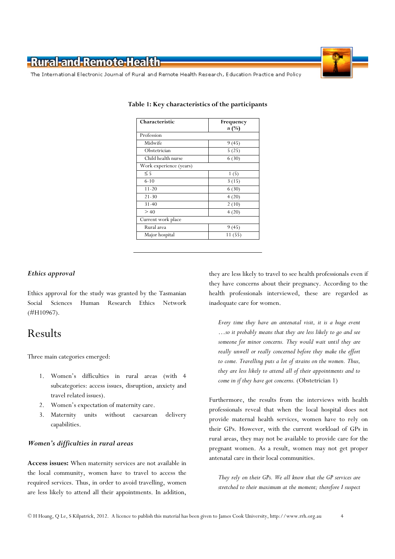The International Electronic Journal of Rural and Remote Health Research, Education Practice and Policy

| Characteristic          | Frequency      |
|-------------------------|----------------|
| Profession              | $n(^{0}/_{0})$ |
| Midwife                 | 9(45)          |
| Obstetrician            | 5(25)          |
| Child health nurse      | 6(30)          |
| Work experience (years) |                |
| $\leq$ 5                | 1(5)           |
| $6 - 10$                | 3(15)          |
| $11 - 20$               | 6(30)          |
| $21 - 30$               | 4(20)          |
| $31 - 40$               | 2(10)          |
| > 40                    | 4(20)          |
| Current work place      |                |
| Rural area              | 9(45)          |
| Major hospital          | 11(55)         |

#### Table 1: Key characteristics of the participants

#### Ethics approval

Ethics approval for the study was granted by the Tasmanian Social Sciences Human Research Ethics Network (#H10967).

### Results

Three main categories emerged:

- 1. Women's difficulties in rural areas (with 4 subcategories: access issues, disruption, anxiety and travel related issues).
- 2. Women's expectation of maternity care.
- 3. Maternity units without caesarean delivery capabilities.

#### Women's difficulties in rural areas

Access issues: When maternity services are not available in the local community, women have to travel to access the required services. Thus, in order to avoid travelling, women are less likely to attend all their appointments. In addition,

they are less likely to travel to see health professionals even if they have concerns about their pregnancy. According to the health professionals interviewed, these are regarded as inadequate care for women.

Every time they have an antenatal visit, it is a huge event …so it probably means that they are less likely to go and see someone for minor concerns. They would wait until they are really unwell or really concerned before they make the effort to come. Travelling puts a lot of strains on the women. Thus, they are less likely to attend all of their appointments and to come in if they have got concerns. (Obstetrician 1)

Furthermore, the results from the interviews with health professionals reveal that when the local hospital does not provide maternal health services, women have to rely on their GPs. However, with the current workload of GPs in rural areas, they may not be available to provide care for the pregnant women. As a result, women may not get proper antenatal care in their local communities.

They rely on their GPs. We all know that the GP services are stretched to their maximum at the moment; therefore I suspect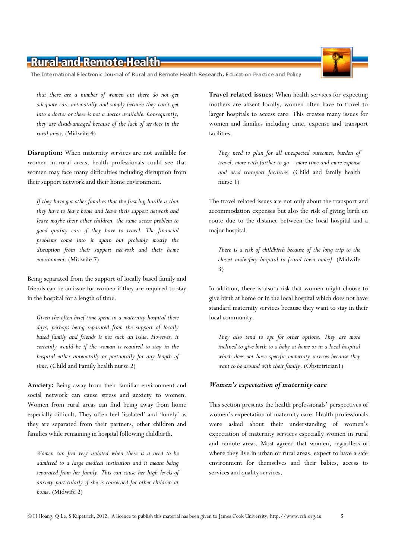The International Electronic Journal of Rural and Remote Health Research, Education Practice and Policy

that there are a number of women out there do not get adequate care antenatally and simply because they can't get into a doctor or there is not a doctor available. Consequently, they are disadvantaged because of the lack of services in the rural areas. (Midwife 4)

Disruption: When maternity services are not available for women in rural areas, health professionals could see that women may face many difficulties including disruption from their support network and their home environment.

If they have got other families that the first big hurdle is that they have to leave home and leave their support network and leave maybe their other children, the same access problem to good quality care if they have to travel. The financial problems come into it again but probably mostly the disruption from their support network and their home environment. (Midwife 7)

Being separated from the support of locally based family and friends can be an issue for women if they are required to stay in the hospital for a length of time.

Given the often brief time spent in a maternity hospital these days, perhaps being separated from the support of locally based family and friends is not such an issue. However, it certainly would be if the woman is required to stay in the hospital either antenatally or postnatally for any length of time. (Child and Family health nurse 2)

Anxiety: Being away from their familiar environment and social network can cause stress and anxiety to women. Women from rural areas can find being away from home especially difficult. They often feel 'isolated' and 'lonely' as they are separated from their partners, other children and families while remaining in hospital following childbirth.

Women can feel very isolated when there is a need to be admitted to a large medical institution and it means being separated from her family. This can cause her high levels of anxiety particularly if she is concerned for other children at home. (Midwife 2)

Travel related issues: When health services for expecting mothers are absent locally, women often have to travel to larger hospitals to access care. This creates many issues for women and families including time, expense and transport facilities.

They need to plan for all unexpected outcomes, burden of travel, more with further to go – more time and more expense and need transport facilities. (Child and family health nurse 1)

The travel related issues are not only about the transport and accommodation expenses but also the risk of giving birth en route due to the distance between the local hospital and a major hospital.

There is a risk of childbirth because of the long trip to the closest midwifery hospital to [rural town name]. (Midwife 3)

In addition, there is also a risk that women might choose to give birth at home or in the local hospital which does not have standard maternity services because they want to stay in their local community.

They also tend to opt for other options. They are more inclined to give birth to a baby at home or in a local hospital which does not have specific maternity services because they want to be around with their family. (Obstetrician1)

#### Women's expectation of maternity care

This section presents the health professionals' perspectives of women's expectation of maternity care. Health professionals were asked about their understanding of women's expectation of maternity services especially women in rural and remote areas. Most agreed that women, regardless of where they live in urban or rural areas, expect to have a safe environment for themselves and their babies, access to services and quality services.

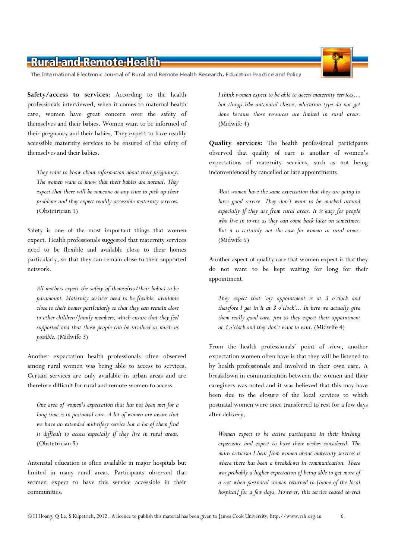The International Electronic Journal of Rural and Remote Health Research, Education Practice and Policy

Safety/access to services: According to the health professionals interviewed, when it comes to maternal health care, women have great concern over the safety of themselves and their babies. Women want to be informed of their pregnancy and their babies. They expect to have readily accessible maternity services to be ensured of the safety of themselves and their babies.

They want to know about information about their pregnancy. The women want to know that their babies are normal. They expect that there will be someone at any time to pick up their problems and they expect readily accessible maternity services. (Obstetrician 1)

Safety is one of the most important things that women expect. Health professionals suggested that maternity services need to be flexible and available close to their homes particularly, so that they can remain close to their supported network.

All mothers expect the safety of themselves/their babies to be paramount. Maternity services need to be flexible, available close to their homes particularly so that they can remain close to other children/family members, which ensure that they feel supported and that those people can be involved as much as possible. (Midwife 3)

Another expectation health professionals often observed among rural women was being able to access to services. Certain services are only available in urban areas and are therefore difficult for rural and remote women to access.

One area of women's expectation that has not been met for a long time is in postnatal care. A lot of women are aware that we have an extended midwifery service but a lot of them find it difficult to access especially if they live in rural areas. (Obstetrician 5)

Antenatal education is often available in major hospitals but limited in many rural areas. Participants observed that women expect to have this service accessible in their communities.

I think women expect to be able to access maternity services… but things like antenatal classes, education type do not get done because those resources are limited in rural areas. (Midwife 4)

Quality services: The health professional participants observed that quality of care is another of women's expectations of maternity services, such as not being inconvenienced by cancelled or late appointments.

Most women have the same expectation that they are going to have good service. They don't want to be mucked around especially if they are from rural areas. It is easy for people who live in towns as they can come back later on sometimes. But it is certainly not the case for women in rural areas. (Midwife 5)

Another aspect of quality care that women expect is that they do not want to be kept waiting for long for their appointment.

They expect that 'my appointment is at 3 o'clock and therefore I get in it at  $3$  o'clock'... In here we actually give them really good care, just as they expect their appointment at 3 o'clock and they don't want to wait. (Midwife 4)

From the health professionals' point of view, another expectation women often have is that they will be listened to by health professionals and involved in their own care. A breakdown in communication between the women and their caregivers was noted and it was believed that this may have been due to the closure of the local services to which postnatal women were once transferred to rest for a few days after delivery.

Women expect to be active participants in their birthing experience and expect to have their wishes considered. The main criticism I hear from women about maternity services is where there has been a breakdown in communication. There was probably a higher expectation of being able to get more of a rest when postnatal women returned to [name of the local hospital] for a few days. However, this service ceased several

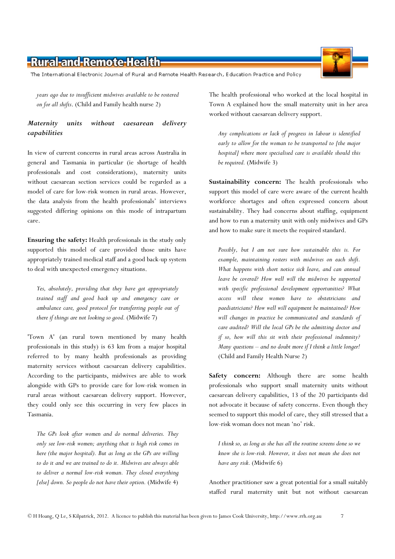The International Electronic Journal of Rural and Remote Health Research, Education Practice and Policy

years ago due to insufficient midwives available to be rostered on for all shifts. (Child and Family health nurse 2)

#### Maternity units without caesarean delivery capabilities

In view of current concerns in rural areas across Australia in general and Tasmania in particular (ie shortage of health professionals and cost considerations), maternity units without caesarean section services could be regarded as a model of care for low-risk women in rural areas. However, the data analysis from the health professionals' interviews suggested differing opinions on this mode of intrapartum care.

Ensuring the safety: Health professionals in the study only supported this model of care provided those units have appropriately trained medical staff and a good back-up system to deal with unexpected emergency situations.

Yes, absolutely, providing that they have got appropriately trained staff and good back up and emergency care or ambulance care, good protocol for transferring people out of there if things are not looking so good. (Midwife 7)

'Town A' (an rural town mentioned by many health professionals in this study) is 63 km from a major hospital referred to by many health professionals as providing maternity services without caesarean delivery capabilities. According to the participants, midwives are able to work alongside with GPs to provide care for low-risk women in rural areas without caesarean delivery support. However, they could only see this occurring in very few places in Tasmania.

The GPs look after women and do normal deliveries. They only see low-risk women; anything that is high risk comes in here (the major hospital). But as long as the GPs are willing to do it and we are trained to do it. Midwives are always able to deliver a normal low-risk woman. They closed everything [else] down. So people do not have their option. (Midwife 4)

The health professional who worked at the local hospital in Town A explained how the small maternity unit in her area worked without caesarean delivery support.

Any complications or lack of progress in labour is identified early to allow for the woman to be transported to [the major hospital] where more specialised care is available should this be required. (Midwife 3)

Sustainability concern: The health professionals who support this model of care were aware of the current health workforce shortages and often expressed concern about sustainability. They had concerns about staffing, equipment and how to run a maternity unit with only midwives and GPs and how to make sure it meets the required standard.

Possibly, but I am not sure how sustainable this is. For example, maintaining rosters with midwives on each shift. What happens with short notice sick leave, and can annual leave be covered? How well will the midwives be supported with specific professional development opportunities? What access will these women have to obstetricians and paediatricians? How well will equipment be maintained? How will changes in practice be communicated and standards of care audited? Will the local GPs be the admitting doctor and if so, how will this sit with their professional indemnity? Many questions  $-$  and no doubt more if I think a little longer! (Child and Family Health Nurse 2)

Safety concern: Although there are some health professionals who support small maternity units without caesarean delivery capabilities, 13 of the 20 participants did not advocate it because of safety concerns. Even though they seemed to support this model of care, they still stressed that a low-risk woman does not mean 'no' risk.

I think so, as long as she has all the routine screens done so we know she is low-risk. However, it does not mean she does not have any risk. (Midwife 6)

Another practitioner saw a great potential for a small suitably staffed rural maternity unit but not without caesarean

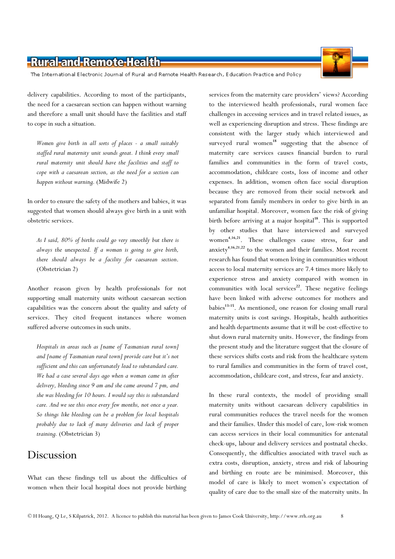The International Electronic Journal of Rural and Remote Health Research, Education Practice and Policy

delivery capabilities. According to most of the participants, the need for a caesarean section can happen without warning and therefore a small unit should have the facilities and staff to cope in such a situation.

Women give birth in all sorts of places - a small suitably staffed rural maternity unit sounds great. I think every small rural maternity unit should have the facilities and staff to cope with a caesarean section, as the need for a section can happen without warning. (Midwife 2)

In order to ensure the safety of the mothers and babies, it was suggested that women should always give birth in a unit with obstetric services.

As I said, 80% of births could go very smoothly but there is always the unexpected. If a woman is going to give birth, there should always be a facility for caesarean section. (Obstetrician 2)

Another reason given by health professionals for not supporting small maternity units without caesarean section capabilities was the concern about the quality and safety of services. They cited frequent instances where women suffered adverse outcomes in such units.

Hospitals in areas such as [name of Tasmanian rural town] and [name of Tasmanian rural town] provide care but it's not sufficient and this can unfortunately lead to substandard care. We had a case several days ago when a woman came in after delivery, bleeding since 9 am and she came around 7 pm, and she was bleeding for 10 hours. I would say this is substandard care. And we see this once every few months, not once a year. So things like bleeding can be a problem for local hospitals probably due to lack of many deliveries and lack of proper training. (Obstetrician 3)

### Discussion

What can these findings tell us about the difficulties of women when their local hospital does not provide birthing

services from the maternity care providers' views? According to the interviewed health professionals, rural women face challenges in accessing services and in travel related issues, as well as experiencing disruption and stress. These findings are consistent with the larger study which interviewed and surveyed rural women<sup>18</sup> suggesting that the absence of maternity care services causes financial burden to rural families and communities in the form of travel costs, accommodation, childcare costs, loss of income and other expenses. In addition, women often face social disruption because they are removed from their social network and separated from family members in order to give birth in an unfamiliar hospital. Moreover, women face the risk of giving birth before arriving at a major hospital<sup>18</sup>. This is supported by other studies that have interviewed and surveyed women <sup>4</sup>,16,<sup>21</sup>. These challenges cause stress, fear and anxiety<sup>4,16,21,22</sup> to the women and their families. Most recent research has found that women living in communities without access to local maternity services are 7.4 times more likely to experience stress and anxiety compared with women in communities with local services<sup>22</sup>. These negative feelings have been linked with adverse outcomes for mothers and babies<sup>13-15</sup>. As mentioned, one reason for closing small rural maternity units is cost savings. Hospitals, health authorities and health departments assume that it will be cost-effective to shut down rural maternity units. However, the findings from the present study and the literature suggest that the closure of these services shifts costs and risk from the healthcare system to rural families and communities in the form of travel cost, accommodation, childcare cost, and stress, fear and anxiety.

In these rural contexts, the model of providing small maternity units without caesarean delivery capabilities in rural communities reduces the travel needs for the women and their families. Under this model of care, low-risk women can access services in their local communities for antenatal check-ups, labour and delivery services and postnatal checks. Consequently, the difficulties associated with travel such as extra costs, disruption, anxiety, stress and risk of labouring and birthing en route are be minimised. Moreover, this model of care is likely to meet women's expectation of quality of care due to the small size of the maternity units. In

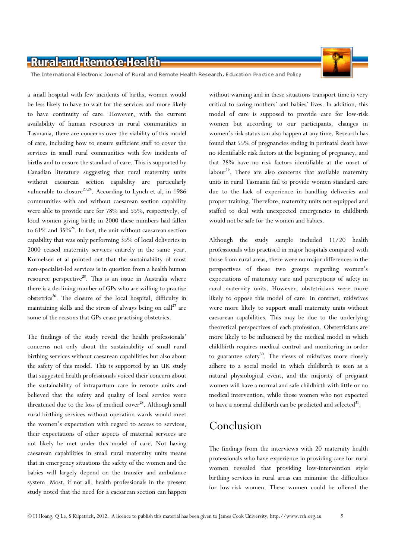The International Electronic Journal of Rural and Remote Health Research, Education Practice and Policy

a small hospital with few incidents of births, women would be less likely to have to wait for the services and more likely to have continuity of care. However, with the current availability of human resources in rural communities in Tasmania, there are concerns over the viability of this model of care, including how to ensure sufficient staff to cover the services in small rural communities with few incidents of births and to ensure the standard of care. This is supported by Canadian literature suggesting that rural maternity units without caesarean section capability are particularly vulnerable to closure<sup>23,24</sup>. According to Lynch et al, in 1986 communities with and without caesarean section capability were able to provide care for 78% and 55%, respectively, of local women giving birth; in 2000 these numbers had fallen to  $61\%$  and  $35\%$ <sup>24</sup>. In fact, the unit without caesarean section capability that was only performing 35% of local deliveries in 2000 ceased maternity services entirely in the same year. Kornelsen et al pointed out that the sustainability of most non-specialist-led services is in question from a health human resource perspective<sup>25</sup>. This is an issue in Australia where there is a declining number of GPs who are willing to practise obstetrics<sup>26</sup>. The closure of the local hospital, difficulty in maintaining skills and the stress of always being on call<sup>27</sup> are some of the reasons that GPs cease practising obstetrics.

The findings of the study reveal the health professionals' concerns not only about the sustainability of small rural birthing services without caesarean capabilities but also about the safety of this model. This is supported by an UK study that suggested health professionals voiced their concern about the sustainability of intrapartum care in remote units and believed that the safety and quality of local service were threatened due to the loss of medical cover $^{28}$ . Although small rural birthing services without operation wards would meet the women's expectation with regard to access to services, their expectations of other aspects of maternal services are not likely be met under this model of care. Not having caesarean capabilities in small rural maternity units means that in emergency situations the safety of the women and the babies will largely depend on the transfer and ambulance system. Most, if not all, health professionals in the present study noted that the need for a caesarean section can happen

without warning and in these situations transport time is very critical to saving mothers' and babies' lives. In addition, this model of care is supposed to provide care for low-risk women but according to our participants, changes in women's risk status can also happen at any time. Research has found that 55% of pregnancies ending in perinatal death have no identifiable risk factors at the beginning of pregnancy, and that 28% have no risk factors identifiable at the onset of labour<sup>29</sup>. There are also concerns that available maternity units in rural Tasmania fail to provide women standard care due to the lack of experience in handling deliveries and proper training. Therefore, maternity units not equipped and staffed to deal with unexpected emergencies in childbirth would not be safe for the women and babies.

Although the study sample included 11/20 health professionals who practised in major hospitals compared with those from rural areas, there were no major differences in the perspectives of these two groups regarding women's expectations of maternity care and perceptions of safety in rural maternity units. However, obstetricians were more likely to oppose this model of care. In contrast, midwives were more likely to support small maternity units without caesarean capabilities. This may be due to the underlying theoretical perspectives of each profession. Obstetricians are more likely to be influenced by the medical model in which childbirth requires medical control and monitoring in order to guarantee safety<sup>30</sup>. The views of midwives more closely adhere to a social model in which childbirth is seen as a natural physiological event, and the majority of pregnant women will have a normal and safe childbirth with little or no medical intervention; while those women who not expected to have a normal childbirth can be predicted and selected<sup>31</sup>.

## Conclusion

The findings from the interviews with 20 maternity health professionals who have experience in providing care for rural women revealed that providing low-intervention style birthing services in rural areas can minimise the difficulties for low-risk women. These women could be offered the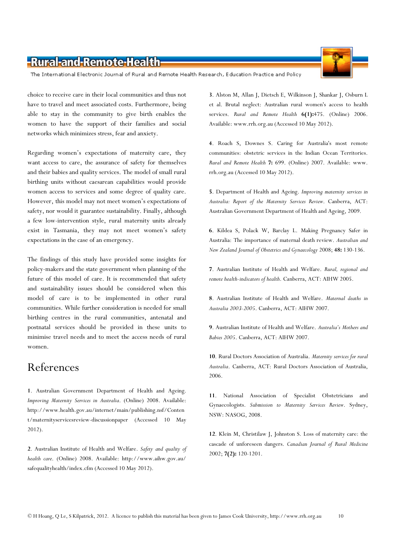The International Electronic Journal of Rural and Remote Health Research, Education Practice and Policy

choice to receive care in their local communities and thus not have to travel and meet associated costs. Furthermore, being able to stay in the community to give birth enables the women to have the support of their families and social networks which minimizes stress, fear and anxiety.

Regarding women's expectations of maternity care, they want access to care, the assurance of safety for themselves and their babies and quality services. The model of small rural birthing units without caesarean capabilities would provide women access to services and some degree of quality care. However, this model may not meet women's expectations of safety, nor would it guarantee sustainability. Finally, although a few low-intervention style, rural maternity units already exist in Tasmania, they may not meet women's safety expectations in the case of an emergency.

The findings of this study have provided some insights for policy-makers and the state government when planning of the future of this model of care. It is recommended that safety and sustainability issues should be considered when this model of care is to be implemented in other rural communities. While further consideration is needed for small birthing centres in the rural communities, antenatal and postnatal services should be provided in these units to minimise travel needs and to meet the access needs of rural women.

### References

1. Australian Government Department of Health and Ageing. Improving Maternity Services in Australia. (Online) 2008. Available: http://www.health.gov.au/internet/main/publishing.nsf/Conten t/maternityservicesreview-discussionpaper (Accessed 10 May 2012).

2. Australian Institute of Health and Welfare. Safety and quality of health care. (Online) 2008. Available: http://www.aihw.gov.au/ safequalityhealth/index.cfm (Accessed 10 May 2012).

3. Alston M, Allan J, Dietsch E, Wilkinson J, Shankar J, Osburn L et al. Brutal neglect: Australian rural women's access to health services. Rural and Remote Health 6(1):475. (Online) 2006. Available: www.rrh.org.au (Accessed 10 May 2012).

4. Roach S, Downes S. Caring for Australia's most remote communities: obstetric services in the Indian Ocean Territories. Rural and Remote Health 7: 699. (Online) 2007. Available: www. rrh.org.au (Accessed 10 May 2012).

5. Department of Health and Ageing. Improving maternity services in Australia: Report of the Maternity Services Review. Canberra, ACT: Australian Government Department of Health and Ageing, 2009.

6. Kildea S, Polack W, Barclay L. Making Pregnancy Safer in Australia: The importance of maternal death review. Australian and New Zealand Journal of Obstetrics and Gynaecology 2008; 48: 130-136.

7. Australian Institute of Health and Welfare. Rural, regional and remote health-indicators of health. Canberra, ACT: AIHW 2005.

8. Australian Institute of Health and Welfare. Maternal deaths in Australia 2003-2005. Canberra, ACT: AIHW 2007.

9. Australian Institute of Health and Welfare. Australia's Mothers and Babies 2005. Canberra, ACT: AIHW 2007.

10. Rural Doctors Association of Australia. Maternity services for rural Australia. Canberra, ACT: Rural Doctors Association of Australia, 2006.

11. National Association of Specialist Obstetricians and Gynaecologists. Submission to Maternity Services Review. Sydney, NSW: NASOG, 2008.

12. Klein M, Christilaw J, Johnston S. Loss of maternity care: the cascade of unforeseen dangers. Canadian Journal of Rural Medicine 2002; 7(2): 120-1201.